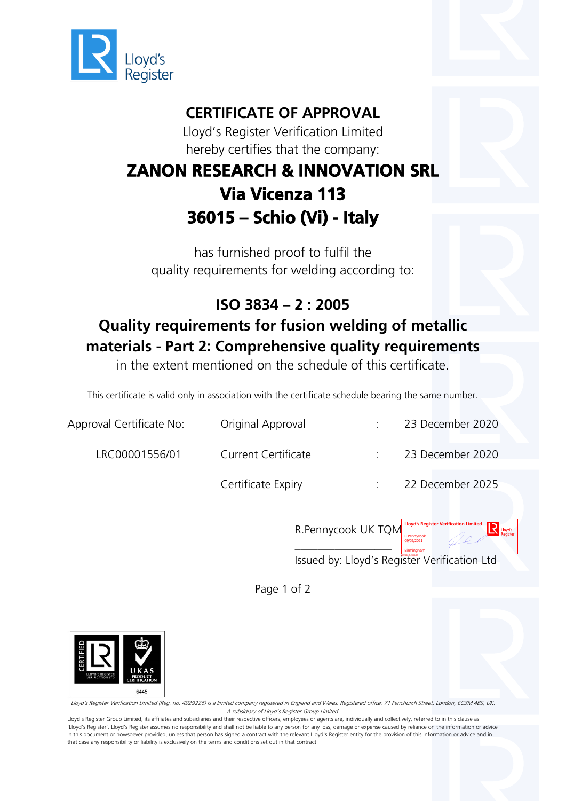

## **CERTIFICATE OF APPROVAL**

Lloyd's Register Verification Limited hereby certifies that the company:

## **ZANON RESEARCH & INNOVATION SRL Via Vicenza 113 36015 – Schio (Vi) - Italy**

has furnished proof to fulfil the quality requirements for welding according to:

## **ISO 3834 – 2 : 2005 Quality requirements for fusion welding of metallic materials - Part 2: Comprehensive quality requirements**

in the extent mentioned on the schedule of this certificate.

This certificate is valid only in association with the certificate schedule bearing the same number.

| Approval Certificate No: | Original Approval          | 23 December 2020 |
|--------------------------|----------------------------|------------------|
| LRC00001556/01           | <b>Current Certificate</b> | 23 December 2020 |
|                          | Certificate Expiry         | 22 December 2025 |



Issued by: Lloyd's Register Verification Ltd

Page 1 of 2



Lloyd's Register Verification Limited (Reg. no. 4929226) is a limited company registered in England and Wales. Registered office: 71 Fenchurch Street, London, EC3M 4BS, UK. A subsidiary of Lloyd's Register Group Limited.

Lloyd's Register Group Limited, its affiliates and subsidiaries and their respective officers, employees or agents are, individually and collectively, referred to in this clause as 'Lloyd's Register'. Lloyd's Register assumes no responsibility and shall not be liable to any person for any loss, damage or expense caused by reliance on the information or advice in this document or howsoever provided, unless that person has signed a contract with the relevant Lloyd's Register entity for the provision of this information or advice and in that case any responsibility or liability is exclusively on the terms and conditions set out in that contract.